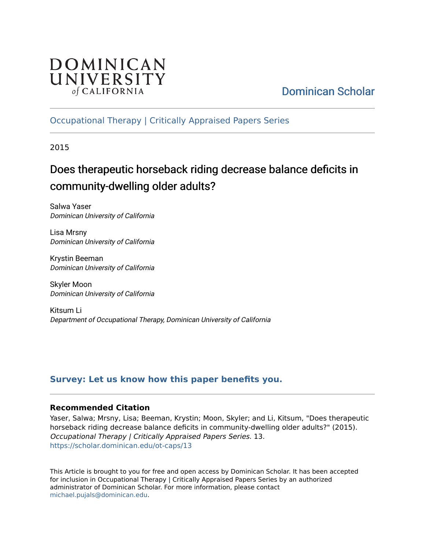

# [Dominican Scholar](https://scholar.dominican.edu/)

# [Occupational Therapy | Critically Appraised Papers Series](https://scholar.dominican.edu/ot-caps)

2015

# Does therapeutic horseback riding decrease balance deficits in community-dwelling older adults?

Salwa Yaser Dominican University of California

Lisa Mrsny Dominican University of California

Krystin Beeman Dominican University of California

Skyler Moon Dominican University of California

Kitsum Li Department of Occupational Therapy, Dominican University of California

# **[Survey: Let us know how this paper benefits you.](https://dominican.libwizard.com/dominican-scholar-feedback)**

### **Recommended Citation**

Yaser, Salwa; Mrsny, Lisa; Beeman, Krystin; Moon, Skyler; and Li, Kitsum, "Does therapeutic horseback riding decrease balance deficits in community-dwelling older adults?" (2015). Occupational Therapy | Critically Appraised Papers Series. 13. [https://scholar.dominican.edu/ot-caps/13](https://scholar.dominican.edu/ot-caps/13?utm_source=scholar.dominican.edu%2Fot-caps%2F13&utm_medium=PDF&utm_campaign=PDFCoverPages) 

This Article is brought to you for free and open access by Dominican Scholar. It has been accepted for inclusion in Occupational Therapy | Critically Appraised Papers Series by an authorized administrator of Dominican Scholar. For more information, please contact [michael.pujals@dominican.edu.](mailto:michael.pujals@dominican.edu)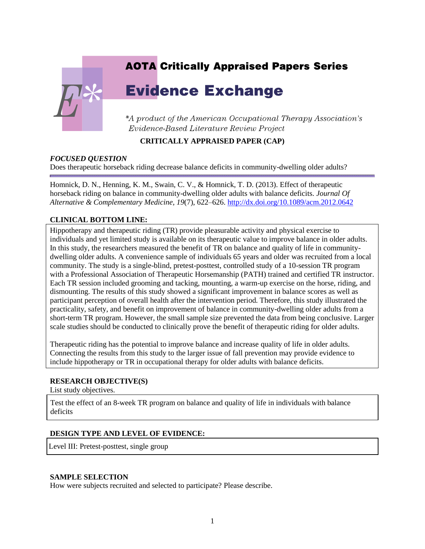# **AOTA Critically Appraised Papers Series**

# **Evidence Exchange**

\*A product of the American Occupational Therapy Association's Evidence-Based Literature Review Project

#### **CRITICALLY APPRAISED PAPER (CAP)**

#### *FOCUSED QUESTION*

Does therapeutic horseback riding decrease balance deficits in community-dwelling older adults?

Homnick, D. N., Henning, K. M., Swain, C. V., & Homnick, T. D. (2013). Effect of therapeutic horseback riding on balance in community-dwelling older adults with balance deficits. *Journal Of Alternative & Complementary Medicine, 19*(7), 622–626[. http://dx.doi.org/10.1089/acm.2012.0642](http://dx.doi.org/10.1089/acm.2012.0642)

#### **CLINICAL BOTTOM LINE:**

Hippotherapy and therapeutic riding (TR) provide pleasurable activity and physical exercise to individuals and yet limited study is available on its therapeutic value to improve balance in older adults. In this study, the researchers measured the benefit of TR on balance and quality of life in communitydwelling older adults. A convenience sample of individuals 65 years and older was recruited from a local community. The study is a single-blind, pretest-posttest, controlled study of a 10-session TR program with a Professional Association of Therapeutic Horsemanship (PATH) trained and certified TR instructor. Each TR session included grooming and tacking, mounting, a warm-up exercise on the horse, riding, and dismounting. The results of this study showed a significant improvement in balance scores as well as participant perception of overall health after the intervention period. Therefore, this study illustrated the practicality, safety, and benefit on improvement of balance in community-dwelling older adults from a short-term TR program. However, the small sample size prevented the data from being conclusive. Larger scale studies should be conducted to clinically prove the benefit of therapeutic riding for older adults.

Therapeutic riding has the potential to improve balance and increase quality of life in older adults. Connecting the results from this study to the larger issue of fall prevention may provide evidence to include hippotherapy or TR in occupational therapy for older adults with balance deficits.

#### **RESEARCH OBJECTIVE(S)**

List study objectives.

Test the effect of an 8-week TR program on balance and quality of life in individuals with balance deficits

#### **DESIGN TYPE AND LEVEL OF EVIDENCE:**

Level III: Pretest-posttest, single group

#### **SAMPLE SELECTION**

How were subjects recruited and selected to participate? Please describe.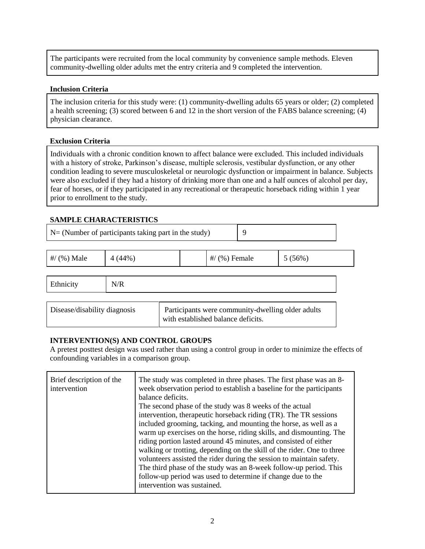The participants were recruited from the local community by convenience sample methods. Eleven community-dwelling older adults met the entry criteria and 9 completed the intervention.

#### **Inclusion Criteria**

The inclusion criteria for this study were: (1) community-dwelling adults 65 years or older; (2) completed a health screening; (3) scored between 6 and 12 in the short version of the FABS balance screening; (4) physician clearance.

#### **Exclusion Criteria**

Individuals with a chronic condition known to affect balance were excluded. This included individuals with a history of stroke, Parkinson's disease, multiple sclerosis, vestibular dysfunction, or any other condition leading to severe musculoskeletal or neurologic dysfunction or impairment in balance. Subjects were also excluded if they had a history of drinking more than one and a half ounces of alcohol per day, fear of horses, or if they participated in any recreational or therapeutic horseback riding within 1 year prior to enrollment to the study.

#### **SAMPLE CHARACTERISTICS**

| $N = (Number of participants taking part in the study)$ |        |  | 9                                  |  |                                                   |
|---------------------------------------------------------|--------|--|------------------------------------|--|---------------------------------------------------|
| #/ $(%$ ) Male                                          | 4(44%) |  | $\#$ (%) Female                    |  | $5(56\%)$                                         |
| Ethnicity                                               | N/R    |  |                                    |  |                                                   |
| Disease/disability diagnosis                            |        |  | with established balance deficits. |  | Participants were community-dwelling older adults |

#### **INTERVENTION(S) AND CONTROL GROUPS**

A pretest posttest design was used rather than using a control group in order to minimize the effects of confounding variables in a comparison group.

| Brief description of the<br>intervention | The study was completed in three phases. The first phase was an 8-<br>week observation period to establish a baseline for the participants<br>balance deficits.<br>The second phase of the study was 8 weeks of the actual<br>intervention, therapeutic horseback riding (TR). The TR sessions<br>included grooming, tacking, and mounting the horse, as well as a<br>warm up exercises on the horse, riding skills, and dismounting. The<br>riding portion lasted around 45 minutes, and consisted of either<br>walking or trotting, depending on the skill of the rider. One to three<br>volunteers assisted the rider during the session to maintain safety.<br>The third phase of the study was an 8-week follow-up period. This |
|------------------------------------------|--------------------------------------------------------------------------------------------------------------------------------------------------------------------------------------------------------------------------------------------------------------------------------------------------------------------------------------------------------------------------------------------------------------------------------------------------------------------------------------------------------------------------------------------------------------------------------------------------------------------------------------------------------------------------------------------------------------------------------------|
|                                          | follow-up period was used to determine if change due to the<br>intervention was sustained.                                                                                                                                                                                                                                                                                                                                                                                                                                                                                                                                                                                                                                           |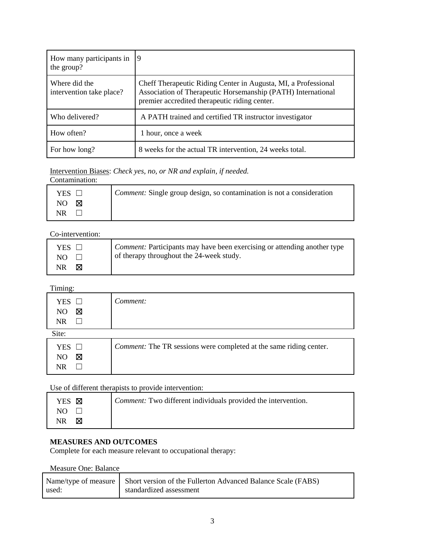| How many participants in<br>the group?    | 19                                                                                                                                                                              |
|-------------------------------------------|---------------------------------------------------------------------------------------------------------------------------------------------------------------------------------|
| Where did the<br>intervention take place? | Cheff Therapeutic Riding Center in Augusta, MI, a Professional<br>Association of Therapeutic Horsemanship (PATH) International<br>premier accredited therapeutic riding center. |
| Who delivered?                            | A PATH trained and certified TR instructor investigator                                                                                                                         |
| How often?                                | 1 hour, once a week                                                                                                                                                             |
| For how long?                             | 8 weeks for the actual TR intervention, 24 weeks total.                                                                                                                         |

Intervention Biases: *Check yes, no, or NR and explain, if needed.*

| Contamination:  |                                                                              |
|-----------------|------------------------------------------------------------------------------|
| YES             | <i>Comment:</i> Single group design, so contamination is not a consideration |
| NО<br>$\bowtie$ |                                                                              |
| NR              |                                                                              |

## Co-intervention:

| YES $\Box$ | <i>Comment:</i> Participants may have been exercising or attending another type |
|------------|---------------------------------------------------------------------------------|
| NO.        | of therapy throughout the 24-week study.                                        |
| NR.<br>M   |                                                                                 |

Timing:

| <b>YES</b><br>⊠<br>NO.<br>NR          | Comment:                                                                  |
|---------------------------------------|---------------------------------------------------------------------------|
| Site:                                 |                                                                           |
| <b>YES</b><br>$\mathbf{1}$<br>⊠<br>NO | <i>Comment:</i> The TR sessions were completed at the same riding center. |

Use of different therapists to provide intervention:

| YES <b>X</b> | <i>Comment:</i> Two different individuals provided the intervention. |
|--------------|----------------------------------------------------------------------|
| NO.          |                                                                      |
| NR.<br>M     |                                                                      |

### **MEASURES AND OUTCOMES**

Complete for each measure relevant to occupational therapy:

Measure One: Balance

|       | Name/type of measure Short version of the Fullerton Advanced Balance Scale (FABS) |
|-------|-----------------------------------------------------------------------------------|
| used: | standardized assessment                                                           |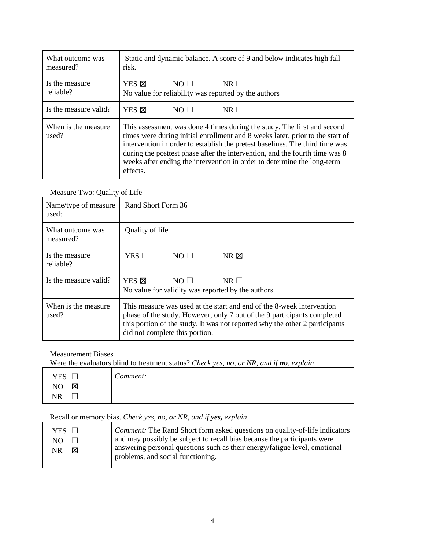| What outcome was<br>measured? | Static and dynamic balance. A score of 9 and below indicates high fall<br>risk.                                                                                                                                                                                                                                                                                                                                |
|-------------------------------|----------------------------------------------------------------------------------------------------------------------------------------------------------------------------------------------------------------------------------------------------------------------------------------------------------------------------------------------------------------------------------------------------------------|
| Is the measure<br>reliable?   | YES <b>X</b><br>$NO \Box$<br>$NR$ $\Box$<br>No value for reliability was reported by the authors                                                                                                                                                                                                                                                                                                               |
| Is the measure valid?         | YES <b>X</b><br>$NR \Box$<br>$NO \Box$                                                                                                                                                                                                                                                                                                                                                                         |
| When is the measure.<br>used? | This assessment was done 4 times during the study. The first and second<br>times were during initial enrollment and 8 weeks later, prior to the start of<br>intervention in order to establish the pretest baselines. The third time was<br>during the posttest phase after the intervention, and the fourth time was 8<br>weeks after ending the intervention in order to determine the long-term<br>effects. |

#### Measure Two: Quality of Life

| Name/type of measure<br>used: | Rand Short Form 36                                                                                                                                                                                                                                                |  |
|-------------------------------|-------------------------------------------------------------------------------------------------------------------------------------------------------------------------------------------------------------------------------------------------------------------|--|
| What outcome was<br>measured? | Quality of life                                                                                                                                                                                                                                                   |  |
| Is the measure.<br>reliable?  | YES $\Box$<br>$NR \boxtimes$<br>$NO \Box$                                                                                                                                                                                                                         |  |
| Is the measure valid?         | YES <b>X</b><br>$NO \Box$<br>$NR \Box$<br>No value for validity was reported by the authors.                                                                                                                                                                      |  |
| When is the measure.<br>used? | This measure was used at the start and end of the 8-week intervention<br>phase of the study. However, only 7 out of the 9 participants completed<br>this portion of the study. It was not reported why the other 2 participants<br>did not complete this portion. |  |

#### Measurement Biases

Were the evaluators blind to treatment status? *Check yes, no, or NR, and if no, explain*.

| <b>YES</b><br>$\overline{\phantom{0}}$ | ⌒<br>Comment: |
|----------------------------------------|---------------|
| Ø<br>N <sub>O</sub>                    |               |
| <b>NR</b>                              |               |

## Recall or memory bias. *Check yes, no, or NR, and if yes, explain*.

| YES $\Box$ | <i>Comment:</i> The Rand Short form asked questions on quality-of-life indicators |
|------------|-----------------------------------------------------------------------------------|
| NO.        | and may possibly be subject to recall bias because the participants were          |
| NR         | answering personal questions such as their energy/fatigue level, emotional        |
| ⊠          | problems, and social functioning.                                                 |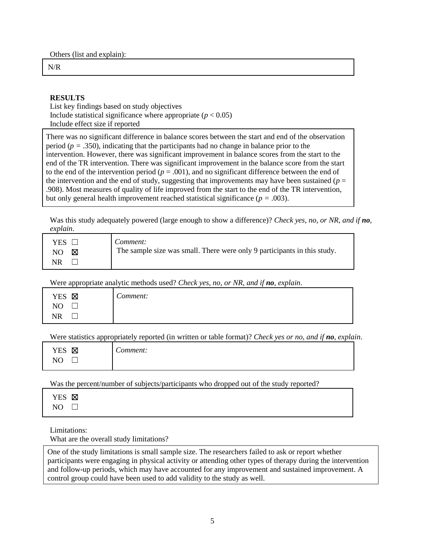Others (list and explain):

N/R

#### **RESULTS**

List key findings based on study objectives Include statistical significance where appropriate  $(p < 0.05)$ Include effect size if reported

There was no significant difference in balance scores between the start and end of the observation period ( $p = 0.350$ ), indicating that the participants had no change in balance prior to the intervention. However, there was significant improvement in balance scores from the start to the end of the TR intervention. There was significant improvement in the balance score from the start to the end of the intervention period ( $p = .001$ ), and no significant difference between the end of the intervention and the end of study, suggesting that improvements may have been sustained ( $p =$ .908). Most measures of quality of life improved from the start to the end of the TR intervention, but only general health improvement reached statistical significance ( $p = .003$ ).

Was this study adequately powered (large enough to show a difference)? *Check yes, no, or NR, and if no, explain*.

Were appropriate analytic methods used? *Check yes, no, or NR, and if no, explain*.

| 区<br><b>YES</b>         | $\sim$<br>comment: |
|-------------------------|--------------------|
| $\mathbf{M}$<br>NH<br>◡ |                    |
| <b>NR</b>               |                    |

Were statistics appropriately reported (in written or table format)? *Check yes or no, and if no, explain*.

| X          | $\sim$   |
|------------|----------|
| <b>YES</b> | comment: |
| NC         |          |

Was the percent/number of subjects/participants who dropped out of the study reported?

| ⊣ | M |
|---|---|
| I |   |

Limitations:

What are the overall study limitations?

One of the study limitations is small sample size. The researchers failed to ask or report whether participants were engaging in physical activity or attending other types of therapy during the intervention and follow-up periods, which may have accounted for any improvement and sustained improvement. A control group could have been used to add validity to the study as well.